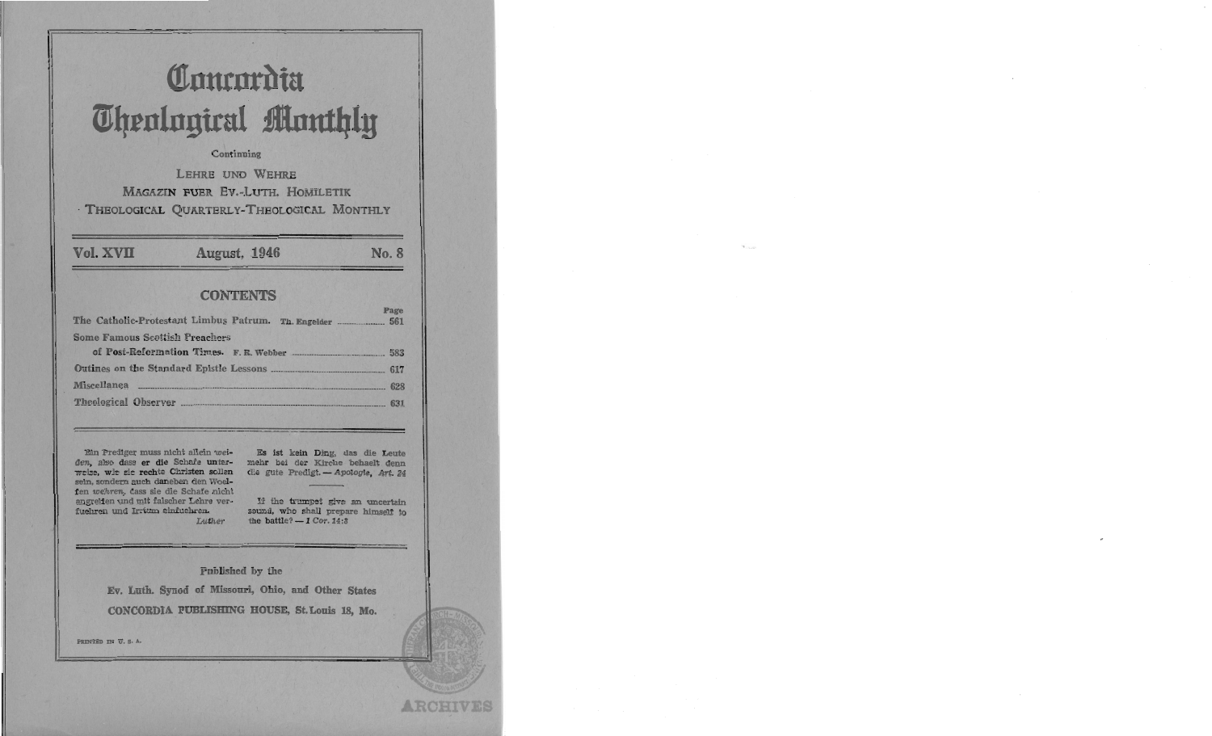## Concordia **Theological Monthly**

## Continuing

LEHRE UND WEHRE **MAGAZIN FUER EV.-LUTH. HOMILETIK** · THEOLOGICAL QUARTERLY-THEOLOGICAL MONTHLY

Vol. XVII

August, 1946

No. 8

ARCHIVE

## **CONTENTS**

| The Catholic-Protestant Limbus Patrum. Th. Engelder  561 | rage |
|----------------------------------------------------------|------|
| <b>Some Famous Scottish Preachers</b>                    |      |
|                                                          |      |
|                                                          |      |
|                                                          |      |
|                                                          |      |

Ein Prediger muss nicht allein weiden, also dass er die Schafe unterweise, wie sie rechte Christen sollen sein, sondern auch daneben den Woelfen wehren, dass sie die Schafe nicht angreifen und mit falscher Lehre verfuehren und Irrtum einfuehren.

Es ist kein Ding, das die Leute mehr bei der Kirche behaelt denn die gute Predigt. - Apologie, Art. 24

If the trumpet give an uncertain sound, who shall prepare himself to the battle?  $-1$  Cor. 14:8

Published by the

Luther

Ev. Luth. Synod of Missouri, Ohio, and Other States CONCORDIA PUBLISHING HOUSE, St. Louis 18, Mo.

PRINTED IN U.S.A.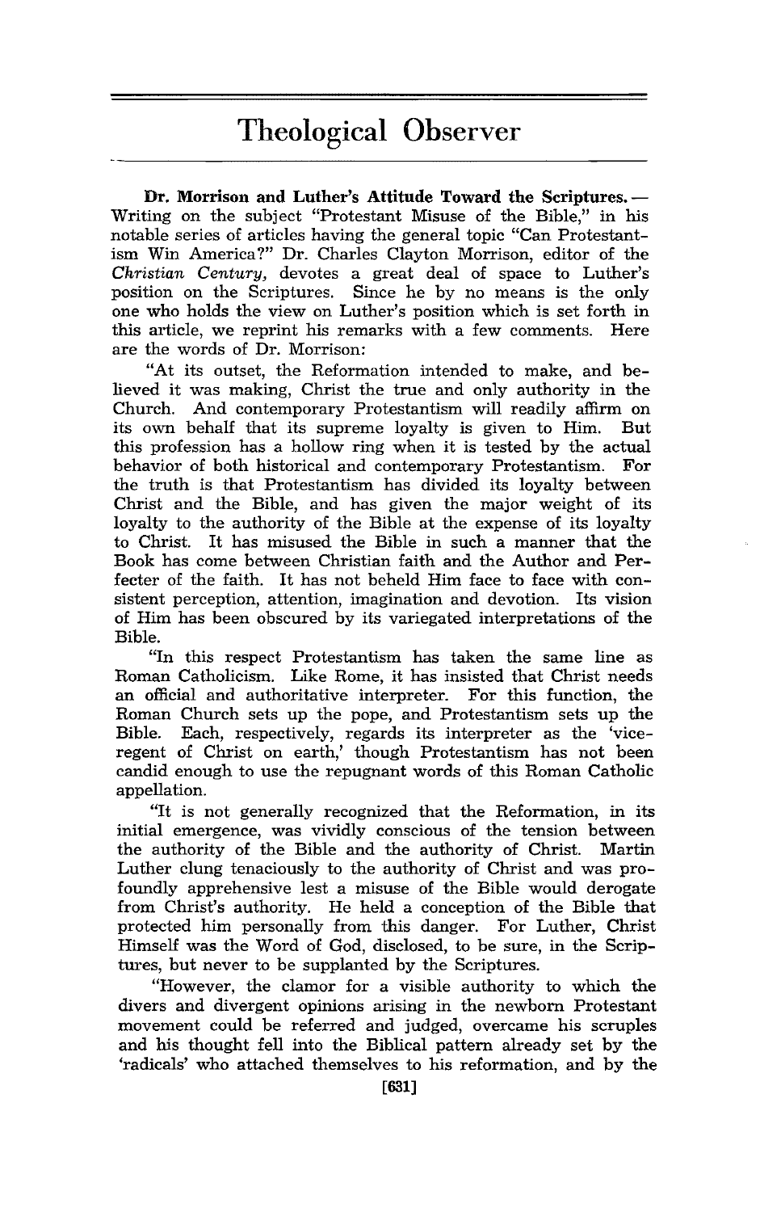## Theological Observer

Dr. Morrison and Luther's Attitude Toward the Scriptures. --Writing on the subject "Protestant Misuse of the Bible," in his notable series of articles having the general topic "Can Protestantism Win America?" Dr. Charles Clayton Morrison, editor of the *Christian Century,* devotes a great deal of space to Luther's position on the Scriptures. Since he by no means is the only one who holds the view on Luther's position which is set forth in this article, we reprint his remarks with a few comments. Here are the words of Dr. Morrison:

"At its outset, the Reformation intended to make, and believed it was making, Christ the true and only authority in the Church. And contemporary Protestantism will readily affirm on its own behalf that its supreme loyalty is given to Him. this profession has a hollow ring when it is tested by the actual behavior of both historical and contemporary Protestantism. For the truth is that Protestantism has divided its loyalty between Christ and the Bible, and has given the major weight of its loyalty to the authority of the Bible at the expense of its loyalty to Christ. It has misused the Bible in such a manner that the Book has come between Christian faith and the Author and Perfecter of the faith. It has not beheld Him face to face with consistent perception, attention, imagination and devotion. Its vision of Him has been obscured by its variegated interpretations of the Bible.

"In this respect Protestantism has taken the same line as Roman Catholicism. Like Rome, it has insisted that Christ needs an official and authoritative interpreter. For this function, the Roman Church sets up the pope, and Protestantism sets up the Bible. Each, respectively, regards its interpreter as the 'viceregent of Christ on earth,' though Protestantism has not been candid enough to use the repugnant words of this Roman Catholic appellation.

"It is not generally recognized that the Reformation, in its initial emergence, was vividly conscious of the tension between the authority of the Bible and the authority of Christ. Luther clung tenaciously to the authority of Christ and was profoundly apprehensive lest a misuse of the Bible would derogate from Christ's authority. He held a conception of the Bible that protected him personally from this danger. For Luther, Christ Himself was the Word of God, disclosed, to be sure, in the Scriptures, but never to be supplanted by the Scriptures.

"However, the clamor for a visible authority to which the divers and divergent opinions arising in the newborn Protestant movement could be referred and judged, overcame his scruples and his thought fell into the Biblical pattern already set by the 'radicals' who attached themselves to his reformation, and by the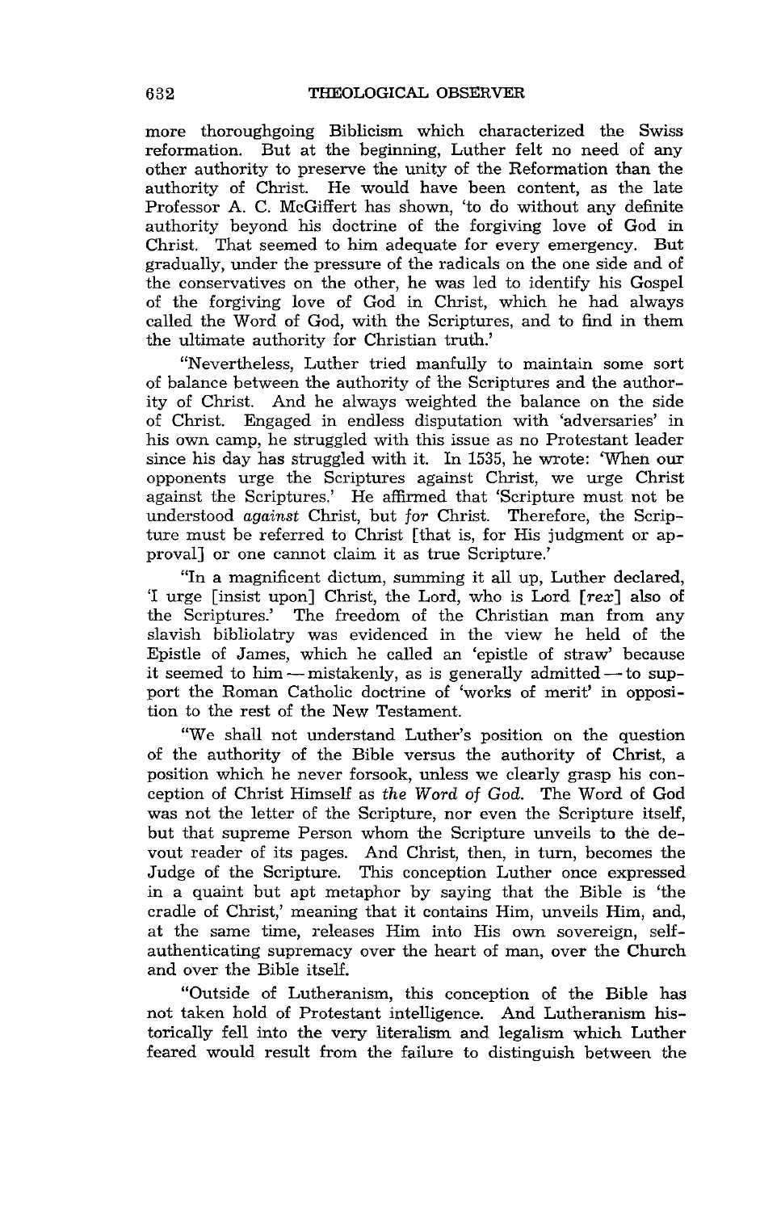more thoroughgoing Biblicism which characterized the Swiss reformation. But at the beginning, Luther felt no need of any other authority to preserve the unity of the Reformation than the authority of Christ. He would have been content, as the late Professor A. C. McGiffert has shown, 'to do without any definite authority beyond his doctrine of the forgiving love of God in Christ. That seemed to him adequate for every emergency. But gradually, under the pressure of the radicals on the one side and of the conservatives on the other, he was led to identify his Gospel of the forgiving love of God in Christ, which he had always called the Word of God, with the Scriptures, and to find in them the ultimate authority for Christian truth.'

"Nevertheless, Luther tried manfully to maintain some sort of balance between the authority of the Scriptures and the authority of Christ. And he always weighted the balance on the side of Christ. Engaged in endless disputation with 'adversaries' in his own camp, he struggled with this issue as no Protestant leader since his day has struggled with it. In 1535, he wrote: 'When our opponents urge the Scriptures against Christ, we urge Christ against the Scriptures.' He affirmed that 'Scripture must not be understood *against* Christ, but *for* Christ. Therefore, the Scripture must be referred to Christ [that is, for His judgment or approval] or one cannot claim it as true Scripture.'

"In a magnificent dictum, summing it all up, Luther declared, 'I urge [insist upon] Christ, the Lord, who is Lord [rex] also of the Scriptures.' The freedom of the Christian man from any slavish bibliolatry was evidenced in the view he held of the Epistle of James, which he called an 'epistle of straw' because it seemed to him - mistakenly, as is generally admitted - to support the Roman Catholic doctrine of 'works of merit' in opposition to the rest of the New Testament.

"We shall not understand Luther's position on the question of the authority of the Bible versus the authority of Christ, a position which he never forsook, unless we clearly grasp his conception of Christ Himself as *the Word* of *God.* The Word of God was not the letter of the Scripture, nor even the Scripture itself, but that supreme Person whom the Scripture unveils to the devout reader of its pages. And Christ, then, in turn, becomes the Judge of the Scripture. This conception Luther once expressed in a quaint but apt metaphor by saying that the Bible is 'the cradle of Christ,' meaning that it contains Him, unveils Him, and, at the same time, releases Him into His own sovereign, selfauthenticating supremacy over the heart of man, over the Church and over the Bible itself.

"Outside of Lutheranism, this conception of the Bible has not taken hold of Protestant intelligence. And Lutheranism historically fell into the very literalism and legalism which Luther feared would result from the failure to distinguish between the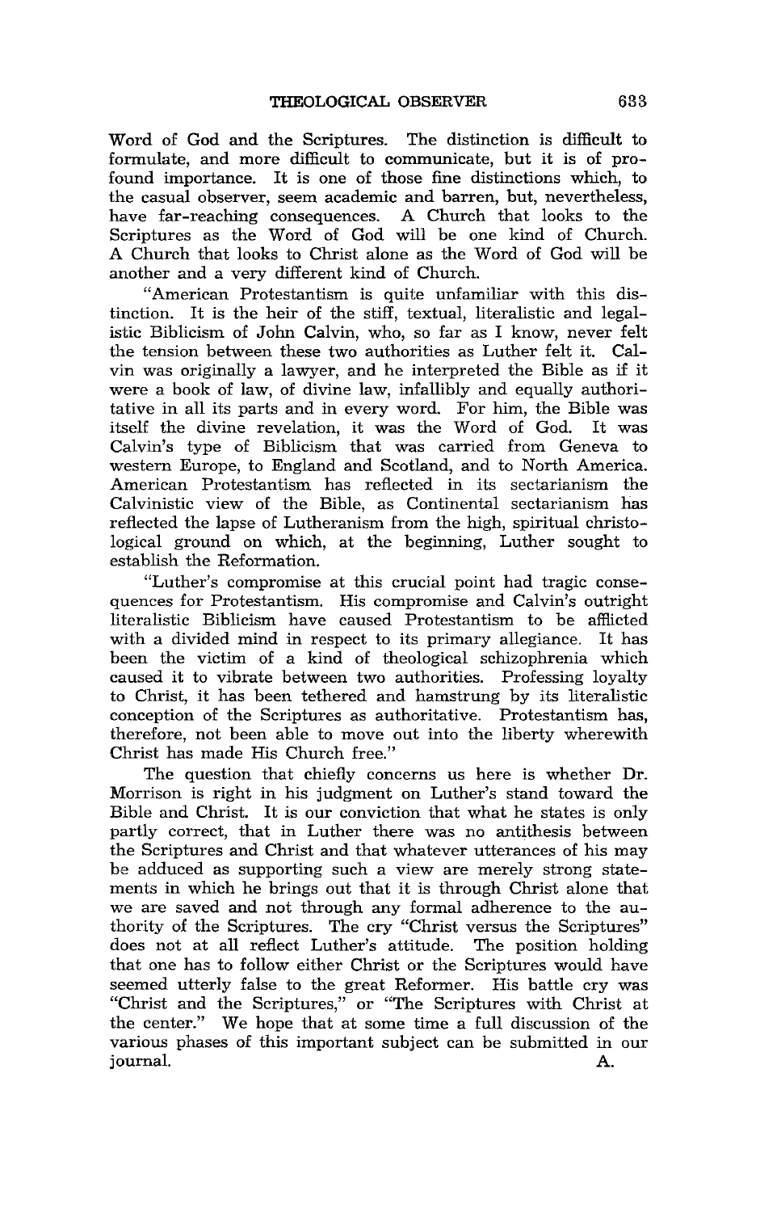Word of God and the Scriptures. The distinction is difficult to formulate, and more difficult to communicate, but it is of profound importance. It is one of those fine distinctions which, to the casual observer, seem academic and barren, but, nevertheless, have far-reaching consequences. A Church that looks to the Scriptures as the Word of God will be one kind of Church. A Church that looks to Christ alone as the Word of God will be another and a very different kind of Church.

"American Protestantism is quite unfamiliar with this distinction. It is the heir of the stiff, textual, literalistic and legalistic Biblicism of John Calvin, who, so far as I know, never felt the tension between these two authorities as Luther felt it. Calvin was originally a lawyer, and he interpreted the Bible as if it were a book of law, of divine law, infallibly and equally authoritative in all its parts and in every word. For him, the Bible was itself the divine revelation, it was the Word of God. Calvin's type of Biblicism that was carried from Geneva to western Europe, to England and Scotland, and to North America. American Protestantism has reflected in its sectarianism the Calvinistic view of the Bible, as Continental sectarianism has reflected the lapse of Lutheranism from the high, spiritual christological ground on which, at the beginning, Luther sought to establish the Reformation.

"Luther's compromise at this crucial point had tragic consequences for Protestantism. His compromise and Calvin's outright literalistic Biblicism have caused Protestantism to be afflicted with a divided mind in respect to its primary allegiance. It has been the victim of a kind of theological schizophrenia which caused it to vibrate between two authorities. Professing loyalty to Christ, it has been tethered and hamstrung by its literalistic conception of the Scriptures as authoritative. Protestantism has, therefore, not been able to move out into the liberty wherewith Christ has made His Church free."

The question that chiefly concerns us here is whether Dr. Morrison is right in his judgment on Luther's stand toward the Bible and Christ. It is our conviction that what he states is only partly correct, that in Luther there was no antithesis between the Scriptures and Christ and that whatever utterances of his may be adduced as supporting such a view are merely strong statements in which he brings out that it is through Christ alone that we are saved and not through any formal adherence to the authority of the Scriptures. The cry "Christ versus the Scriptures" does not at all reflect Luther's attitude. The position holding that one has to follow either Christ or the Scriptures would have seemed utterly false to the great Reformer. His battle cry was "Christ and the Scriptures," or "The Scriptures with Christ at the center." We hope that at some time a full discussion of the various phases of this important subject can be submitted in our journal. A.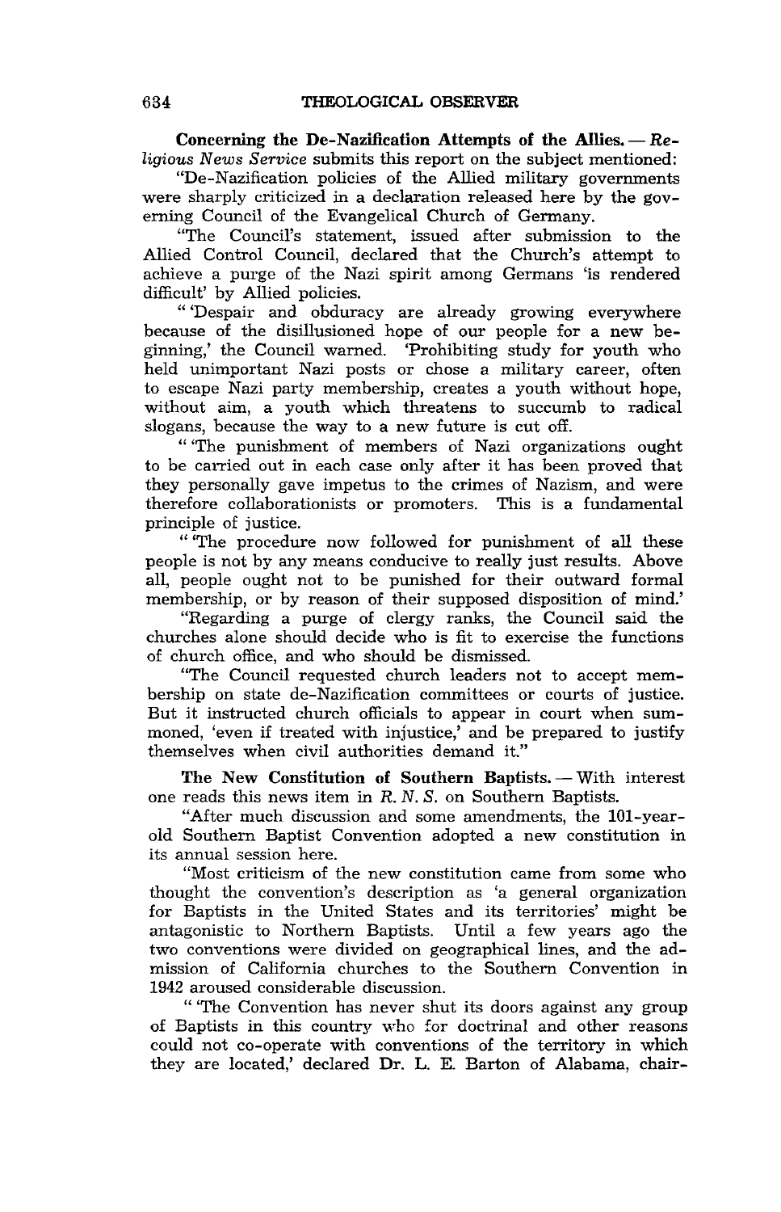Concerning the De-Nazification Attempts of the Allies. - Re*ligious News Service* submits this report on the subject mentioned:

"De-Nazification policies of the Allied military governments were sharply criticized in a declaration released here by the governing Council of the Evangelical Church of Germany.

"The Council's statement, issued after submission to the Allied Control Council, declared that the Church's attempt to achieve a purge of the Nazi spirit among Germans 'is rendered difficult' by Allied policies.

"'Despair and obduracy are already growing everywhere because of the disillusioned hope of our people for a new beginning,' the Council warned. 'Prohibiting study for youth who held unimportant Nazi posts or chose a military career, often to escape Nazi party membership, creates a youth without hope, without aim, a youth which threatens to succumb to radical slogans, because the way to a new future is cut off.

"'The punishment of members of Nazi organizations ought to be carried out in each case only after it has been proved that they personally gave impetus to the crimes of Nazism, and were therefore collaborationists or promoters. This is a fundamental principle of justice.

"'The procedure now followed for punishment of all these people is not by any means conducive to really just results. Above all, people ought not to be punished for their outward formal membership, or by reason of their supposed disposition of mind.'

"Regarding a purge of clergy ranks, the Council said the churches alone should decide who is fit to exercise the functions of church office, and who should be dismissed.

"The Council requested church leaders not to accept membership on state de-Nazification committees or courts of justice. But it instructed church officials to appear in court when summoned, 'even if treated with injustice,' and be prepared to justify themselves when civil authorities demand it."

The New Constitution of Southern Baptists. - With interest one reads this news item in R. N. *S.* on Southern Baptists.

"After much discussion and some amendments, the 10l-yearold Southern Baptist Convention adopted a new constitution in its annual session here.

"Most criticism of the new constitution came from some who thought the convention's description as 'a general organization for Baptists in the United States and its territories' might be antagonistic to Northern Baptists. Until a few years ago the two conventions were divided on geographical lines, and the admission of California churches to the Southern Convention in 1942 aroused considerable discussion.

" 'The Convention has never shut its doors against any group of Baptists in this country who for doctrinal and other reasons could not co-operate with conventions of the territory in which they are located,' declared Dr. L. E. Barton of Alabama, chair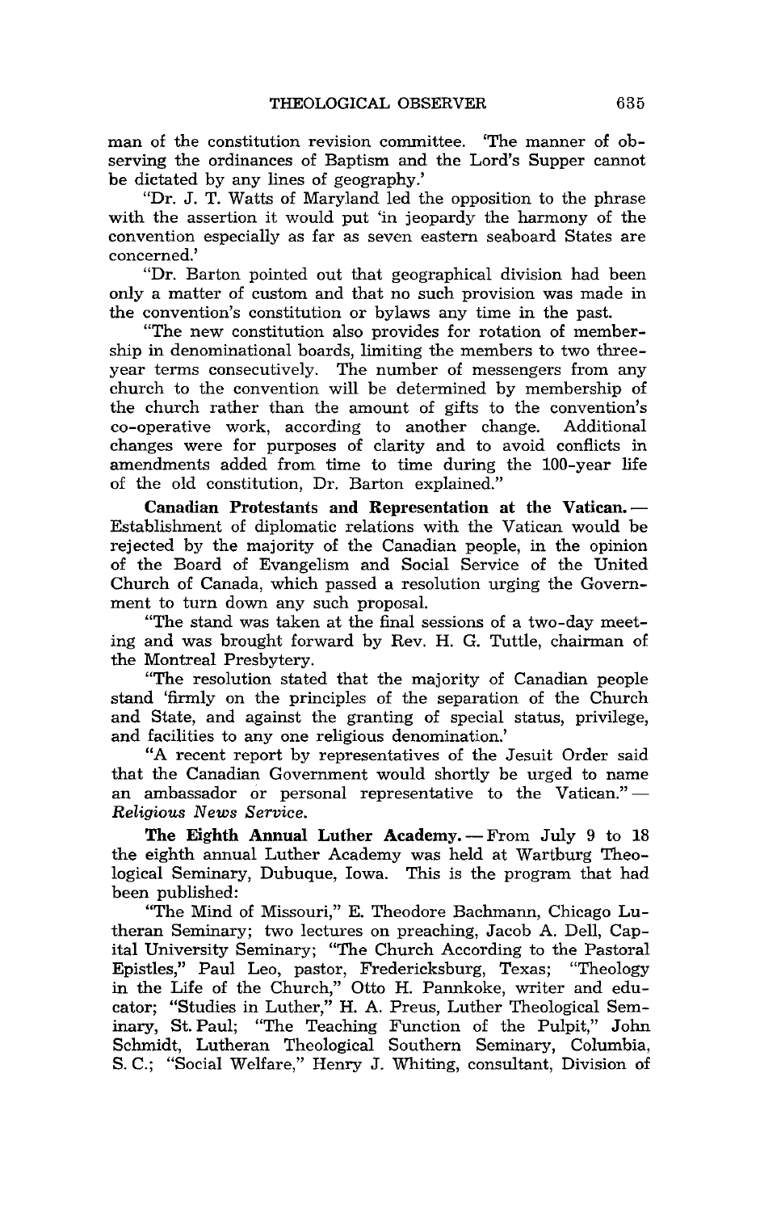man of the constitution revision committee. 'The manner of observing the ordinances of Baptism and the Lord's Supper cannot be dictated by any lines of geography.'

"Dr. J. T. Watts of Maryland led the opposition to the phrase with the assertion it would put 'in jeopardy the harmony of the convention especially as far as seven eastern seaboard States are concerned.'

"Dr. Barton pointed out that geographical division had been only a matter of custom and that no such provision was made in the convention's constitution or bylaws any time in the past.

"The new constitution also provides for rotation of membership in denominational boards, limiting the members to two threeyear terms consecutively. The number of messengers from any church to the convention will be determined by membership of the church rather than the amount of gifts to the convention's co-operative work, according to another change. Additional co-operative work, according to another change. changes were for purposes of clarity and to avoid conflicts in amendments added from time to time during the lOO-year life of the old constitution, Dr. Barton explained."

Canadian Protestants and Representation at the Vatican. -Establishment of diplomatic relations with the Vatican would be rejected by the majority of the Canadian people, in the opinion of the Board of Evangelism and Social Service of the United Church of Canada, which passed a resolution urging the Government to turn down any such proposal.

"The stand was taken at the final sessions of a two-day meeting and was brought forward by Rev. H. G. Tuttle, chairman of the Montreal Presbytery.

"The resolution stated that the majority of Canadian people stand 'firmly on the principles of the separation of the Church and State, and against the granting of special status, privilege, and facilities to any one religious denomination.'

"A recent report by representatives of the Jesuit Order said that the Canadian Government would shortly be urged to name an ambassador or personal representative to the Vatican."-*Religious News Service.* 

The Eighth Annual Luther Academy. - From July 9 to 18 the eighth annual Luther Academy was held at Wartburg Theological Seminary, Dubuque, Iowa. This is the program that had been published:

"The Mind of Missouri," E. Theodore Bachmann, Chicago Lutheran Seminary; two lectures on preaching, Jacob A. Dell, Capital University Seminary; "The Church According to the Pastoral Epistles," Paul Leo, pastor, Fredericksburg, Texas; "Theology in the Life of the Church," Otto H. Pannkoke, writer and educator; "Studies in Luther," H. A. Preus, Luther Theological Seminary, St. Paul; "The Teaching Function of the Pulpit," John Schmidt, Lutheran Theological Southern Seminary, Columbia, S. C.; "Social Welfare," Henry J. Whiting, consultant, Division of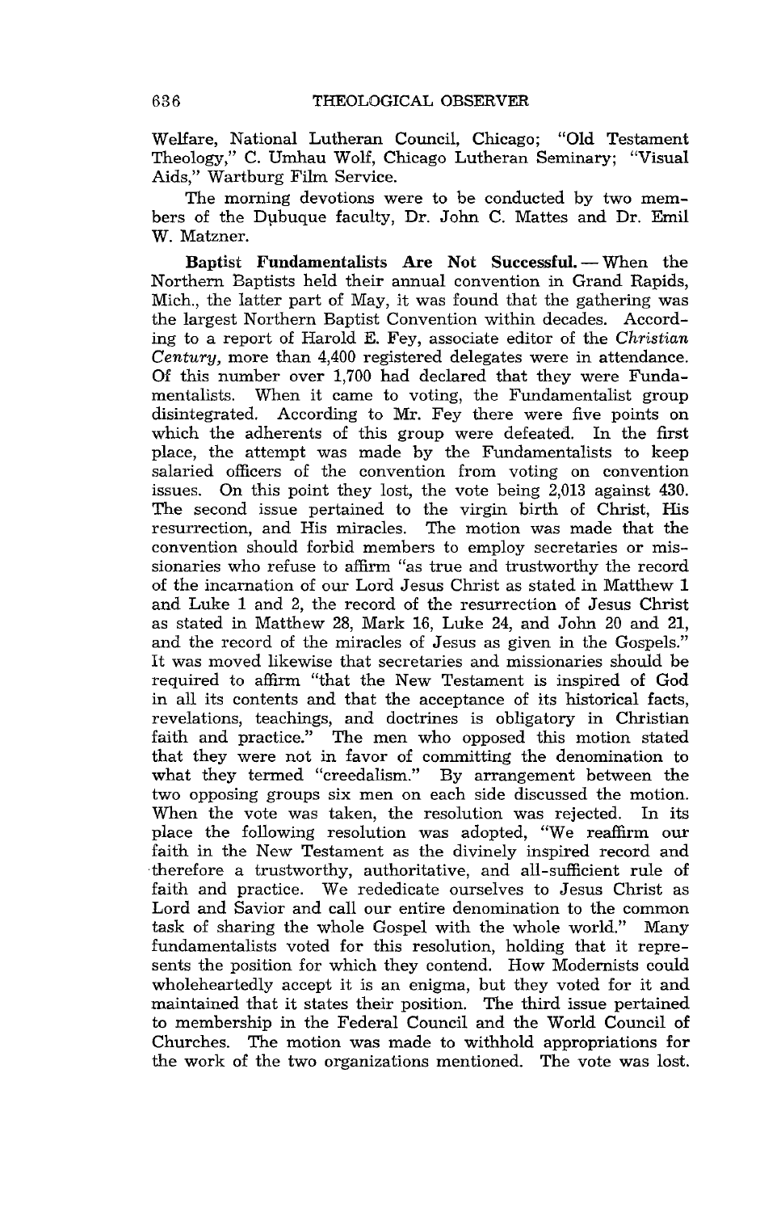Welfare, National Lutheran Council, Chicago; "Old Testament Theology," C. Umhau Wolf, Chicago Lutheran Seminary; "Visual Aids," Wartburg Film Service.

The morning devotions were to be conducted by two members of the Dubuque faculty, Dr. John C. Mattes and Dr. Emil W. Matzner.

Baptist Fundamentalists Are Not Successful. - When the Northern Baptists held their annual convention in Grand Rapids, Mich., the latter part of May, it was found that the gathering was the largest Northern Baptist Convention within decades. According to a report of Harold E. Fey, associate editor of the *Christian Century,* more than 4,400 registered delegates were in attendance. Of this number over 1,700 had declared that they were Funda-When it came to voting, the Fundamentalist group disintegrated. According to Mr. Fey there were five points on which the adherents of this group were defeated. In the first place, the attempt was made by the Fundamentalists to keep salaried officers of the convention from voting on convention issues. On this point they lost, the vote being 2,013 against 430. The second issue pertained to the virgin birth of Christ, His resurrection, and His miracles. The motion was made that the convention should forbid members to employ secretaries or missionaries who refuse to affirm "as true and trustworthy the record of the incarnation of our Lord Jesus Christ as stated in Matthew 1 and Luke 1 and 2, the record of the resurrection of Jesus Christ as stated in Matthew 28, Mark 16, Luke 24, and John 20 and 21, and the record of the miracles of Jesus as given in the Gospels." It was moved likewise that secretaries and missionaries should be required to affirm "that the New Testament is inspired of God in all its contents and that the acceptance of its historical facts, revelations, teachings, and doctrines is obligatory in Christian faith and practice." The men who opposed this motion stated that they were not in favor of committing the denomination to what they termed "creedalism." By arrangement between the two opposing groups six men on each side discussed the motion. When the vote was taken, the resolution was rejected. In its place the following resolution was adopted, "We reaffirm our faith in the New Testament as the divinely inspired record and ·therefore a trustworthy, authoritative, and all-sufficient rule of faith and practice. We rededicate ourselves to Jesus Christ as Lord and Savior and call our entire denomination to the common task of sharing the whole Gospel with the whole world." Many fundamentalists voted for this resolution, holding that it represents the position for which they contend. How Modernists could wholeheartedly accept it is an enigma, but they voted for it and maintained that it states their position. The third issue pertained to membership in the Federal Council and the World Council of Churches. The motion was made to withhold appropriations for the work of the two organizations mentioned. The vote was lost.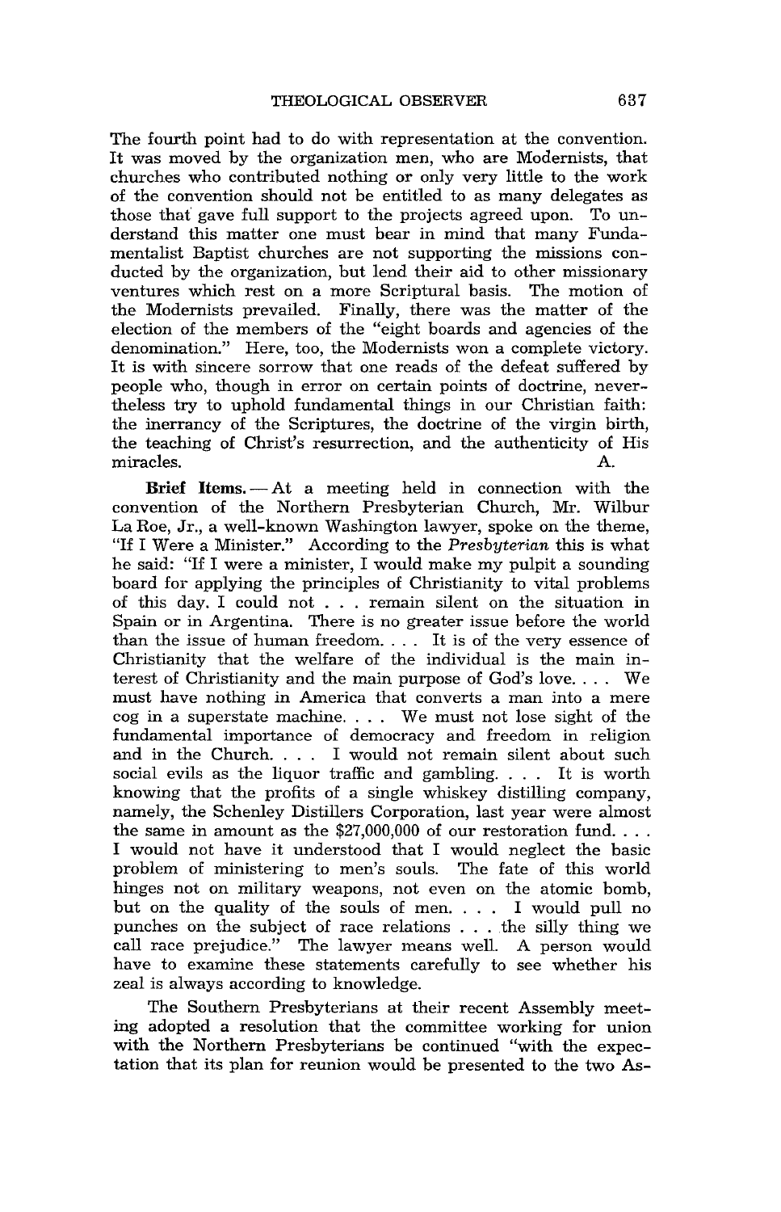The fourth point had to do with representation at the convention. It was moved by the organization men, who are Modernists, that churches who contributed nothing or only very little to the work of the convention should not be entitled to as many delegates as those that gave full support to the projects agreed upon. To understand this matter one must bear in mind that many Fundamentalist Baptist churches are not supporting the missions conducted by the organization, but lend their aid to other missionary ventures which rest on a more Scriptural basis. The motion of the Modernists prevailed. Finally, there was the matter of the election of the members of the "eight boards and agencies of the denomination." Here, too, the Modernists won a complete victory. It is with sincere sorrow that one reads of the defeat suffered by people who, though in error on certain points of doctrine, nevertheless try to uphold fundamental things in our Christian faith: the inerrancy of the Scriptures, the doctrine of the virgin birth, the teaching of Christ's resurrection, and the authenticity of His miracles. A. miracles. A.

Brief Items.  $-At$  a meeting held in connection with the convention of the Northern Presbyterian Church, Mr. Wilbur La Roe, Jr., a well-known Washington lawyer, spoke on the theme, "If I Were a Minister." According to the *Presbyterian* this is what he said: "If I were a minister, I would make my pulpit a sounding board for applying the principles of Christianity to vital problems of this day. I could not . . . remain silent on the situation in Spain or in Argentina. There is no greater issue before the world than the issue of human freedom. . .. It is of the very essence of Christianity that the welfare of the individual is the main interest of Christianity and the main purpose of God's love. . .. We must have nothing in America that converts a man into a mere cog in a superstate machine. . .. We must not lose sight of the fundamental importance of democracy and freedom in religion and in the Church. . .. I would not remain silent about such social evils as the liquor traffic and gambling. . .. It is worth knowing that the profits of a single whiskey distilling company, namely, the Schenley Distillers Corporation, last year were almost the same in amount as the  $$27,000,000$  of our restoration fund... I would not have it understood that I would neglect the basic problem of ministering to men's souls. The fate of this world hinges not on military weapons, not even on the atomic bomb, but on the quality of the souls of men. . . . I would pull no punches on the subject of race relations . . . .the silly thing we call race prejudice." The lawyer means well. A person would have to examine these statements carefully to see whether his zeal is always according to knowledge.

The Southern Presbyterians at their recent Assembly meeting adopted a resolution that the committee working for union with the Northern Presbyterians be continued "with the expectation that its plan for reunion would be presented to the two As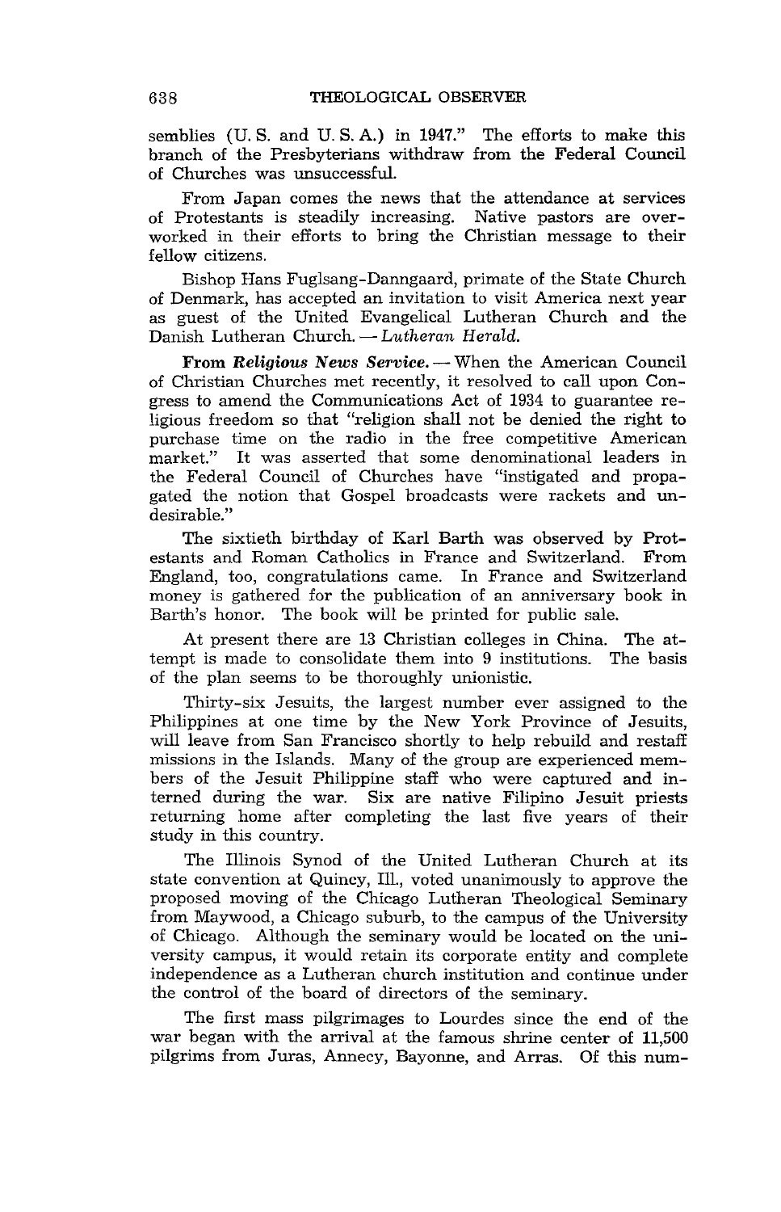semblies (U. S. and U. S. A.) in 1947." The efforts to make this branch of the Presbyterians withdraw from the Federal Council of Churches was unsuccessful.

From Japan comes the news that the attendance at services of Protestants is steadily increasing. Native pastors are overworked in their efforts to bring the Christian message to their fellow citizens.

Bishop Hans Fuglsang-Danngaard, primate of the State Church of Denmark, has accepted an invitation to visit America next year as guest of the United Evangelical Lutheran Church and the Danish Lutheran Church. - *Lutheran Herald.* 

From *Religious News Service*. - When the American Council of Christian Churches met recently, it resolved to call upon Congress to amend the Communications Act of 1934 to guarantee religious freedom so that "religion shall not be denied the right to purchase time on the radio in the free competitive American market." It was asserted that some denominational leaders in the Federal Council of Churches have "instigated and propagated the notion that Gospel broadcasts were rackets and undesirable."

The sixtieth birthday of Karl Barth was observed by Protestants and Roman Catholics in France and Switzerland. From England, too, congratulations came. In France and Switzerland money is gathered for the publication of an anniversary book in Barth's honor. The book will be printed for public sale.

At present there are 13 Christian colleges in China. The attempt is made to consolidate them into 9 institutions. The basis of the plan seems to be thoroughly unionistic.

Thirty-six Jesuits, the largest number ever assigned to the Philippines at one time by the New York Province of Jesuits, will leave from San Francisco shortly to help rebuild and restaff missions in the Islands. Many of the group are experienced members of the Jesuit Philippine staff who were captured and interned during the war. Six are native Filipino Jesuit priests returning home after completing the last five years of their study in this country.

The Illinois Synod of the United Lutheran Church at its state convention at Quincy, Ill., voted unanimously to approve the proposed moving of the Chicago Lutheran Theological Seminary from Maywood, a Chicago suburb, to the campus of the University of Chicago. Although the seminary would be located on the university campus, it would retain its corporate entity and complete independence as a Lutheran church institution and continue under the control of the board of directors of the seminary.

The first mass pilgrimages to Lourdes since the end of the war began with the arrival at the famous shrine center of 11,500 pilgrims from Juras, Annecy, Bayonne, and Arras. Of this num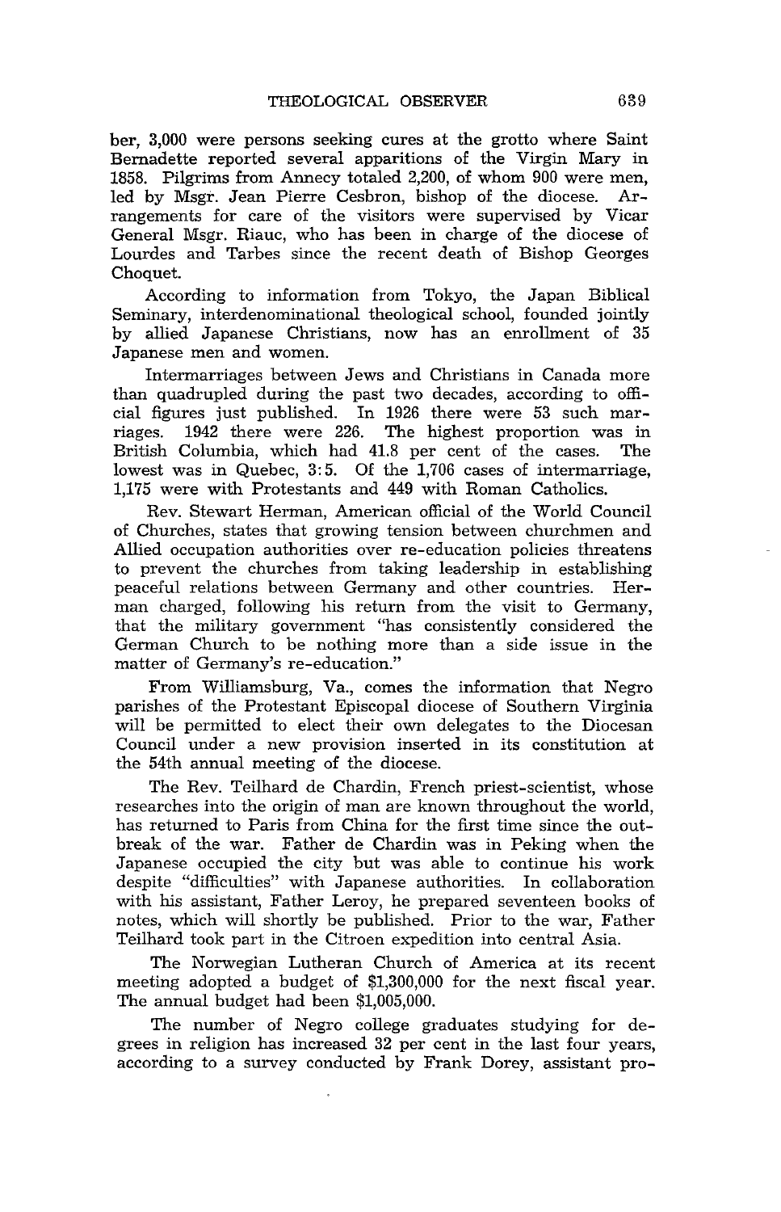ber, 3,000 were persons seeking cures at the grotto where Saint Bernadette reported several apparitions of the Virgin Mary in 1858. Pilgrims from Annecy totaled 2,200, of whom 900 were men, led by Msgr. Jean Pierre Cesbron, bishop of the diocese. Arrangements for care of the visitors were supervised by Vicar General Msgr. Riauc, who has been in charge of the diocese of Lourdes and Tarbes since the recent death of Bishop Georges Choquet.

According to information from Tokyo, the Japan Biblical Seminary, interdenominational theological school, founded jointly by allied Japanese Christians, now has an enrollment of 35 Japanese men and women.

Intermarriages between Jews and Christians in Canada more than quadrupled during the past two decades, according to official figures just published. In 1926 there were 53 such marriages. 1942 there were 226. The highest proportion was in British Columbia, which had 41.8 per cent of the cases. The lowest was in Quebec, 3:5. Of the 1,706 cases of intermarriage, 1,175 were with Protestants and 449 with Roman Catholics.

Rev. Stewart Herman, American official of the World Council of Churches, states that growing tension between churchmen and Allied occupation authorities over re-education policies threatens to prevent the churches from taking leadership in establishing peaceful relations between Germany and other countries. Herman charged, following his return from the visit to Germany, that the military government "has consistently considered the German Church to be nothing more than a side issue in the matter of Germany's re-education."

From Williamsburg, Va., comes the information that Negro parishes of the Protestant Episcopal diocese of Southern Virginia will be permitted to elect their own delegates to the Diocesan Council under a new provision inserted in its constitution at the 54th annual meeting of the diocese.

The Rev. Teilhard de Chardin, French priest-scientist, whose researches into the origin of man are known throughout the world, has returned to Paris from China for the first time since the outbreak of the war. Father de Chardin was in Peking when the Japanese occupied the city but was able to continue his work despite "difficulties" with Japanese authorities. In collaboration with his assistant, Father Leroy, he prepared seventeen books of notes, which will shortly be published. Prior to the war, Father Teilhard took part in the Citroen expedition into central Asia.

The Norwegian Lutheran Church of America at its recent meeting adopted a budget of \$1,300,000 for the next fiscal year. The annual budget had been \$1,005,000.

The number of Negro college graduates studying for degrees in religion has increased 32 per cent in the last four years, according to a survey conducted by Frank Dorey, assistant pro